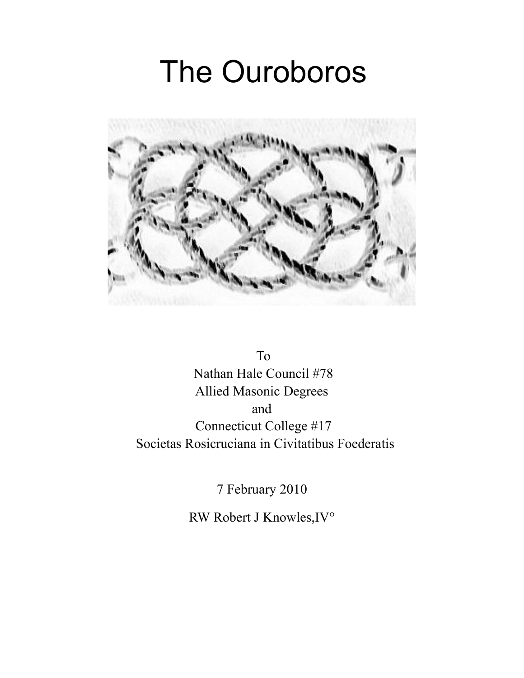# The Ouroboros



To Nathan Hale Council #78 Allied Masonic Degrees and Connecticut College #17 Societas Rosicruciana in Civitatibus Foederatis

7 February 2010

RW Robert J Knowles,IV°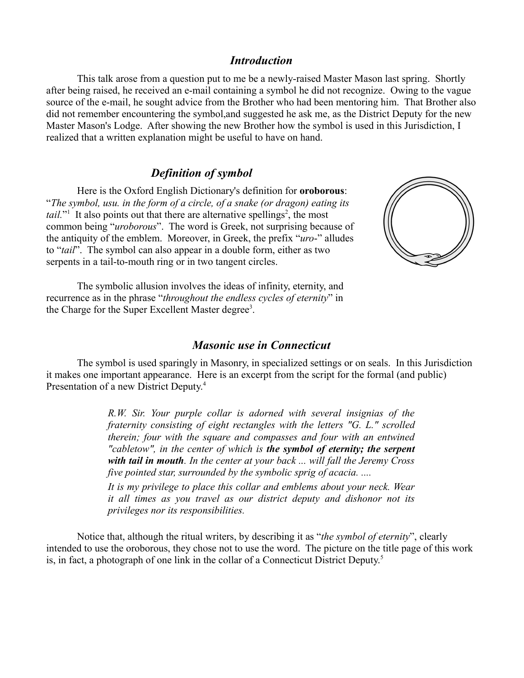#### *Introduction*

This talk arose from a question put to me be a newly-raised Master Mason last spring. Shortly after being raised, he received an e-mail containing a symbol he did not recognize. Owing to the vague source of the e-mail, he sought advice from the Brother who had been mentoring him. That Brother also did not remember encountering the symbol,and suggested he ask me, as the District Deputy for the new Master Mason's Lodge. After showing the new Brother how the symbol is used in this Jurisdiction, I realized that a written explanation might be useful to have on hand.

## *Definition of symbol*

Here is the Oxford English Dictionary's definition for **oroborous**: "*The symbol, usu. in the form of a circle, of a snake (or dragon) eating its tail.*" It also points out that there are alternative spellings<sup>[2](#page-4-1)</sup>, the most common being "*uroborous*". The word is Greek, not surprising because of the antiquity of the emblem. Moreover, in Greek, the prefix "*uro*-" alludes to "*tail*". The symbol can also appear in a double form, either as two serpents in a tail-to-mouth ring or in two tangent circles.



The symbolic allusion involves the ideas of infinity, eternity, and recurrence as in the phrase "*throughout the endless cycles of eternity*" in the Charge for the Super Excellent Master degree<sup>[3](#page-4-2)</sup>.

#### *Masonic use in Connecticut*

The symbol is used sparingly in Masonry, in specialized settings or on seals. In this Jurisdiction it makes one important appearance. Here is an excerpt from the script for the formal (and public) Presentation of a new District Deputy.<sup>[4](#page-4-3)</sup>

> *R.W. Sir. Your purple collar is adorned with several insignias of the fraternity consisting of eight rectangles with the letters "G. L." scrolled therein; four with the square and compasses and four with an entwined "cabletow", in the center of which is the symbol of eternity; the serpent with tail in mouth. In the center at your back ... will fall the Jeremy Cross five pointed star, surrounded by the symbolic sprig of acacia. ....*

> *It is my privilege to place this collar and emblems about your neck. Wear it all times as you travel as our district deputy and dishonor not its privileges nor its responsibilities.*

Notice that, although the ritual writers, by describing it as "*the symbol of eternity*", clearly intended to use the oroborous, they chose not to use the word. The picture on the title page of this work is, in fact, a photograph of one link in the collar of a Connecticut District Deputy.[5](#page-4-4)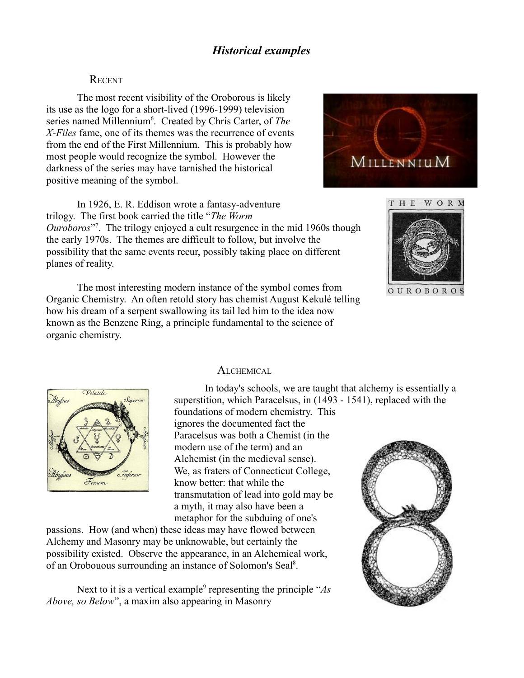#### **RECENT**

The most recent visibility of the Oroborous is likely its use as the logo for a short-lived (1996-1999) television series named Millennium<sup>[6](#page-4-5)</sup>. Created by Chris Carter, of *The X-Files* fame, one of its themes was the recurrence of events from the end of the First Millennium. This is probably how most people would recognize the symbol. However the darkness of the series may have tarnished the historical positive meaning of the symbol.



In 1926, E. R. Eddison wrote a fantasy-adventure trilogy. The first book carried the title "*The Worm Ouroboros*" [7](#page-4-6) . The trilogy enjoyed a cult resurgence in the mid 1960s though the early 1970s. The themes are difficult to follow, but involve the possibility that the same events recur, possibly taking place on different planes of reality.

The most interesting modern instance of the symbol comes from Organic Chemistry. An often retold story has chemist August Kekulé telling how his dream of a serpent swallowing its tail led him to the idea now known as the Benzene Ring, a principle fundamental to the science of organic chemistry.





OUROBOROS



#### ALCHEMICAL

In today's schools, we are taught that alchemy is essentially a superstition, which Paracelsus, in (1493 - 1541), replaced with the foundations of modern chemistry. This

ignores the documented fact the Paracelsus was both a Chemist (in the modern use of the term) and an Alchemist (in the medieval sense). We, as fraters of Connecticut College, know better: that while the transmutation of lead into gold may be a myth, it may also have been a metaphor for the subduing of one's

passions. How (and when) these ideas may have flowed between Alchemy and Masonry may be unknowable, but certainly the possibility existed. Observe the appearance, in an Alchemical work, of an Orobouous surrounding an instance of Solomon's Seal<sup>[8](#page-4-7)</sup>.

Next to it is a vertical example<sup>[9](#page-4-8)</sup> representing the principle "*As Above, so Below*", a maxim also appearing in Masonry

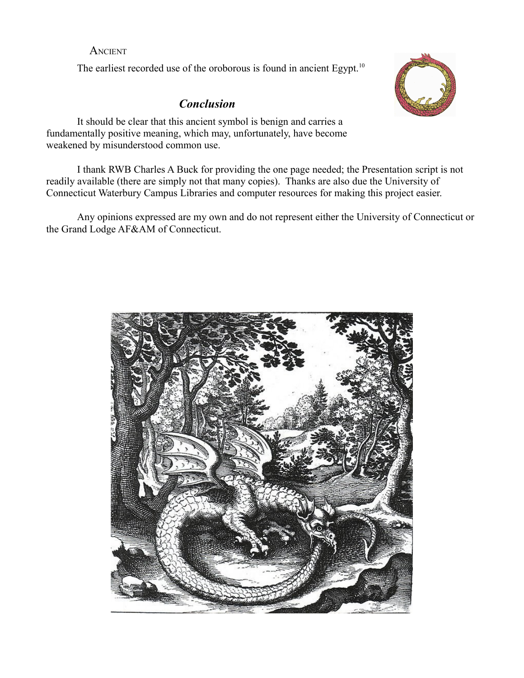### **ANCIENT**

The earliest recorded use of the oroborous is found in ancient Egypt.<sup>[10](#page-4-9)</sup>

# *Conclusio[n](#page-4-10)*



It should be clear that this ancient symbol is benign and carries a fundamentally positive meaning, which may, unfortunately, have become weakened by misunderstood common use.

I thank RWB Charles A Buck for providing the one page needed; the Presentation script is not readily available (there are simply not that many copies). Thanks are also due the University of Connecticut Waterbury Campus Libraries and computer resources for making this project easier.

Any opinions expressed are my own and do not represent either the University of Connecticut or the Grand Lodge AF&AM of Connecticut.